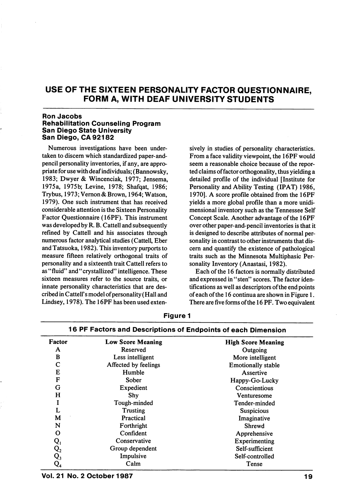# USE OF THE SIXTEEN PERSONALITY FACTOR QUESTIONNAIRE, FORM A, WITH DEAF UNIVERSITY STUDENTS

#### Ron Jacobs Rehabilitation Counseling Program San Diego State University San Diego, OA 92182

Numerous investigations have been under taken to discern which standardized paper-andpencil personality inventories, if any, are appro priate for use with deaf individuals; (Bannowsky, 1983; Dwyer & Wincenciak, 1977; Jensema, 1975a, 1975b; Levine, 1978; Shafqat, 1986; Trybus, 1973; Vemon & Brown, 1964; Watson, 1979). One such instrument that has received considerable attention is the Sixteen Personality Factor Questionnaire (16PF). This instrument was developed by R. B. Cattell and subsequently refined by Cattell and his associates through numerous factor analytical studies (Cattell, Eber and Tatsuoka, 1982). This inventory purports to measure fifteen relatively orthogonal traits of personality and a sixteenth trait Cattell refers to as "fluid" and "crystallized" intelligence. These sixteen measures refer to the source traits, or innate personality characteristics that are des cribed in Cattell's model of personality (Hall and Lindsey, 1978). The 16PF has been used exten

sively in studies of personality characteristics. From a face validity viewpoint, the 16PF would seem a reasonable choice because of the repor ted claims of factor orthogonality, thus yielding a detailed profile of the individual [Institute for Personality and Ability Testing (IPAT) 1986, 1970]. A score profile obtained from the 16PF yields a more global profile than a more unidimensional inventory such as the Tennessee Self Concept Scale. Another advantage of the 16PF over other paper-and-pencil inventories is that it is designed to describe attributes of normal per sonality in contrast to other instruments that dis cern and quantify the existence of pathological traits such as the Minnesota Multiphasic Per sonality Inventory (Anastasi, 1982).

Each of the 16 factors is normally distributed and expressed in "sten" scores. The factor iden tifications as well as descriptors of the end points of each of the 16 continua are shown in Figure 1. There are five forms of the 16 PF. Two equivalent

| Factor         | Low Score Meaning    | <b>High Score Meaning</b> |  |  |
|----------------|----------------------|---------------------------|--|--|
| A              | Reserved             | Outgoing                  |  |  |
| в              | Less intelligent     | More intelligent          |  |  |
| С              | Affected by feelings | <b>Emotionally stable</b> |  |  |
| E              | Humble               | Assertive                 |  |  |
| F              | Sober                | Happy-Go-Lucky            |  |  |
| G              | Expedient            | Conscientious             |  |  |
| н              | Shy                  | Venturesome               |  |  |
|                | Tough-minded         | Tender-minded             |  |  |
| L              | Trusting             | <b>Suspicious</b>         |  |  |
| М              | Practical            | Imaginative               |  |  |
| N              | Forthright           | Shrewd                    |  |  |
| O              | Confident            | Apprehensive              |  |  |
| $Q_{1}$        | Conservative         | Experimenting             |  |  |
| $\mathsf{Q}_2$ | Group dependent      | Self-sufficient           |  |  |
| $\mathbf{Q_3}$ | Impulsive            | Self-controlled           |  |  |
| Q,             | Calm                 | Tense                     |  |  |

Figure 1 16 PF Factors and Descriptions of Endpoints of each Dimension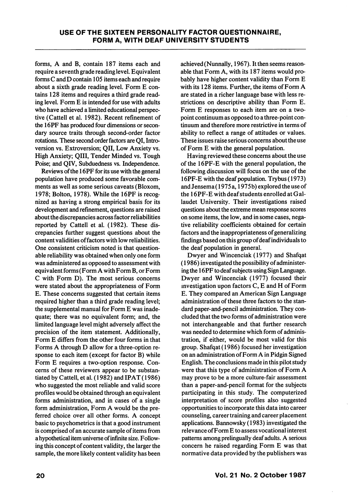forms, A and B, contain 187 items each and require a seventh grade reading level. Equivalent forms C and D contain 105 items each and require about a sixth grade reading level. Form E con tains 128 items and requires a third grade read ing level. Form E is intended for use with adults who have achieved a limited educational perspec tive (Cattell et al. 1982). Recent refinement of the 16PF has produced four dimensions or secon dary source traits through second-order factor rotations. These second order factors are QI, Intro version vs. Extroversion; OII, Low Anxiety vs. High Anxiety; QIII, Tender Minded vs. Tough Poise; and QIV, Subduedness vs. Independence.

Reviews of the 16PF for its use with the general population have produced some favorable com ments as well as some serious caveats (Bloxom, 1978; Bolton, 1978). While the 16PF is recog nized as having a strong empirical basis for its development and refinement, questions are raised about the discrepancies across factor reliabilities reported by Cattell et al. (1982). These dis crepancies further suggest questions about the content validities of factors with low reliabilities. One consistent criticism noted is that question able reliability was obtained when only one form was administered as opposed to assessment with equivalent forms (Form A with Form B, or Form C with Form D). The most serious concerns were stated about the appropriateness of Form E. These concerns suggested that certain items required higher than a third grade reading level; the supplemental manual for Form E was inade quate; there was no equivalent form; and, the limited language level might adversely affect the precision of the item statement. Additionally, Form E differs from the other four forms in that Forms A through D allow for a three-option re sponse to each item (except for factor B) while Form E requires a two-option response. Con cerns of these reviewers appear to be substan tiated by Cattell, et al. (1982) and IPAT (1986) who suggested the most reliable and valid score profiles would be obtained through an equivalent forms administration, and in cases of a single form administration. Form A would be the pre ferred choice over all other forms. A concept basic to psychometrics is that a good instrument is comprised of an accurate sample of items from a hypothetical item universe of infinite size. Follow ing this concept of content validity, the larger the sample, the more likely content validity has been

achieved (Nunnally, 1967). It then seems reason able that Form A, with its 187 items would pro bably have higher content validity than Form E with its 128 items. Further, the items of Form A are stated in a richer language base with less re strictions on descriptive ability than Form E. Form E responses to each item are on a twopoint continuum as opposed to a three-point con tinuum and therefore more restrictive in terms of ability to reflect a range of attitudes or values. These issues raise serious concerns about the use of Form E with the general population.

Having reviewed these concerns about the use of the I6PF-E with the general population, the following discussion will focus on the use of the 16PF-E with the deaf population. Trybus (1973) and Jensema (1975 a, 1975b) explored the use of the 16PF-E with deaf students enrolled at Gallaudet University. Their investigations raised questions about the extreme mean response scores on some items, the low, and in some cases, nega tive reliability coefficients obtained for certain factors and the inappropriateness of generalizing findings based on this group of deaf individuals to the deaf population in general.

Dwyer and Wincenciak (1977) and Shafqat (1986) investigated the possibility of administer ing the 16PF to deaf subjects using Sign Language. Dwyer and Wincenciak (1977) focused their investigation upon factors C, E and H of Form E. They compared an American Sign Language administration of these three factors to the stan dard paper-and-pencil administration. They concluded that the two forms of administration were not interchangeable and that further research was needed to determine which form of adminis tration, if either, would be most valid for this group. Shafqat (1986) focused her investigation on an administration of Form A in Pidgin Signed English. The conclusions made in this pilot study were that this type of administration of Form A may prove to be a more culture-fair assessment than a paper-and-pencil format for the subjects participating in this study. The computerized interpretation of score profiles also suggested opportunities to incorporate this data into career counseling, career training and career placement applications. Bannowsky (1983) investigated the relevance of Form E to assess vocational interest patterns among prelingually deaf adults. A serious concern he raised regarding Form E was that normative data provided by the publishers was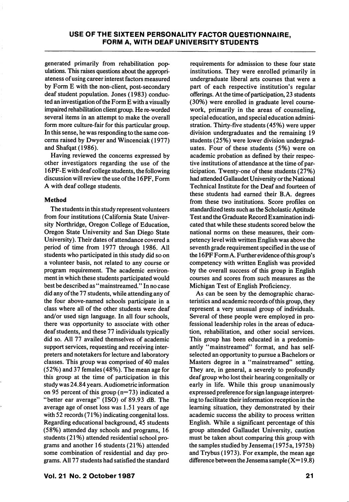generated primarily from rehabilitation pop ulations. This raises questions about the appropri ateness of using career interest factors measured by Form E with the non-client, post-secondary deaf student population. Jones (1983) conduc ted an investigation of the Form E with a visually impaired rehabilitation client group. He re-worded several items in an attempt to make the overall form more culture-fair for this particular group. In this sense, he was responding to the same con cerns raised by Dwyer and Wincenciak (1977) and Shafqat (1986).

Having reviewed the concerns expressed by other investigators regarding the use of the 16PF-E with deaf college students, the following discussion will review the use of the 16PF, Form A with deaf college students.

### Method

The students in this study represent volunteers from four institutions (California State Univer sity Northridge, Oregon College of Education, Oregon State University and San Diego State University). Their dates of attendance covered a period of time from 1977 through 1986. All students who participated in this study did so on a volunteer basis, not related to any course or program requirement. The academic environ ment in which these students participated would best be described as "mainstreamed." In no case did any of the 77 students, while attending any of the four above-named schools participate in a class where all of the other students were deaf and/or used sign language. In all four schools, there was opportunity to associate with other deaf students, and these 77 individuals typically did so. All 77 availed themselves of academic support services, requesting and receiving inter preters and notetakers for lecture and laboratory classes. This group was comprised of 40 males (52%) and 37 females (48%). The mean age for this group at the time of participation in this study was 24.84 years. Audiometric information on 95 percent of this group  $(n=73)$  indicated a "better ear average" (ISO) of 89.93 dB. The average age of onset loss was 1.51 years of age with 52 records (71%) indicating congenital loss. Regarding educational background, 45 students (58%) attended day schools and programs, 16 students (21%) attended residential school pro grams and another 16 students (21%) attended some combination of residential and day pro grams. All 77 students had satisfied the standard

requirements for admission to these four state institutions. They were enrolled primarily in undergraduate liberal arts courses that were a part of each respective institution's regular offerings. At the time of participation, 23 students (30%) were enrolled in graduate level coursework, primarily in the areas of counseling, special education, and special education admini stration. Thirty-five students (45%) were upper division undergraduates and the remaining 19 students (25%) were lower division undergrad uates. Four of these students (5%) were on academic probation as defined by their respec tive institutions of attendance at the time of par ticipation. Twenty-one of these students (27%) had attended Gallaudet University or the National Technical Institute for the Deaf and fourteen of these students had earned their B.A. degrees from these two institutions. Score profiles on standardized tests such as the Scholastic Aptitude Test and the Graduate Record Examination indi cated that while these students scored below the national norms on these measures, their com petency level with written English was above the seventh grade requirement specified in the use of the 16PF Form A. Further evidence ofthis group's competency with written English was provided by the overall success of this group in English courses and scores from such measures as the Michigan Test of English Proficiency.

As can be seen by the demographic charac teristics and academic records of this group, they represent a very unusual group of individuals. Several of these people were employed in pro fessional leadership roles in the areas of educa tion, rehabilitation, and other social services. This group has been educated in a predomin antly "mainstreamed" format, and has selfselected an opportunity to pursue a Bachelors or Masters degree in a "mainstreamed" setting. They are, in general, a severely to profoundly deaf group who lost their hearing congenitally or early in life. While this group unanimously expressed preference for sign language interpret ing to facilitate their information reception in the learning situation, they demonstrated by their academic success the ability to process written English. While a significant percentage of this group attended Gallaudet University, caution must be taken about comparing this group with the samples studied by Jensema (1975 a, 1975b) and Trybus (1973). For example, the mean age difference between the Jensema sample  $(X= 19.8)$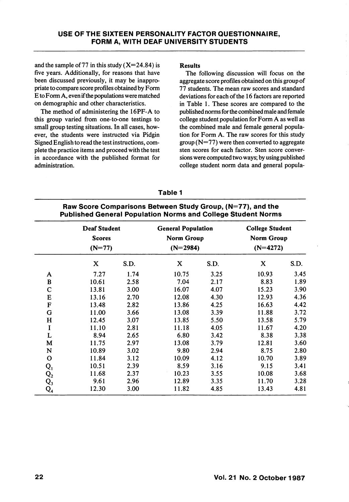and the sample of 77 in this study  $(X=24.84)$  is five years. Additionally, for reasons that have been discussed previously, it may be inappro priate to compare score profiles obtained by Form E to Form A, even if the populations were matched on demographic and other characteristics.

The method of administering the 16PF-A to this group varied from one-to-one testings to small group testing situations. In all cases, how ever, the students were instructed via Pidgin Signed English to read the test instructions, com plete the practice items and proceed with the test in accordance with the published format for administration.

### Results

The following discussion will focus on the aggregate score profiles obtained on this group of 77 students. The mean raw scores and standard deviations for each of the 16 factors are reported in Table 1. These scores are compared to the published norms for the combined male and female college student population for Form A as well as the combined male and female general popula tion for Form A. The raw scores for this study  $\text{group} (N=77)$  were then converted to aggregate sten scores for each factor. Sten score conver sions were computed two ways; by using published college student norm data and general popula-

### Table 1

## Raw Score Comparisons Between Study Group, (N=77), and the Published General Population Norms and College Student Norms

|                | <b>Deaf Student</b><br><b>Scores</b><br>$(N=77)$ |      | <b>General Population</b><br>Norm Group<br>$(N=2984)$ |      | <b>College Student</b><br><b>Norm Group</b><br>$(N=4272)$ |      |  |
|----------------|--------------------------------------------------|------|-------------------------------------------------------|------|-----------------------------------------------------------|------|--|
|                | X                                                | S.D. | X                                                     | S.D. | X                                                         | S.D. |  |
| A              | 7.27                                             | 1.74 | 10.75                                                 | 3.25 | 10.93                                                     | 3.45 |  |
| B              | 10.61                                            | 2.58 | 7.04                                                  | 2.17 | 8.83                                                      | 1.89 |  |
| $\mathbf C$    | 13.81                                            | 3.00 | 16.07                                                 | 4.07 | 15.23                                                     | 3.90 |  |
| E              | 13.16                                            | 2.70 | 12.08                                                 | 4.30 | 12.93                                                     | 4.36 |  |
| ${\bf F}$      | 13.48                                            | 2.82 | 13.86                                                 | 4.25 | 16.63                                                     | 4.42 |  |
| G              | 11.00                                            | 3.66 | 13.08                                                 | 3.39 | 11.88                                                     | 3.72 |  |
| H              | 12.45                                            | 3.07 | 13.85                                                 | 5.50 | 13.58                                                     | 5.79 |  |
| I              | 11.10                                            | 2.81 | 11.18                                                 | 4.05 | 11.67                                                     | 4.20 |  |
| L              | 8.94                                             | 2.65 | 6.80                                                  | 3.42 | 8.38                                                      | 3.38 |  |
| M              | 11.75                                            | 2.97 | 13.08                                                 | 3.79 | 12.81                                                     | 3.60 |  |
| N              | 10.89                                            | 3.02 | 9.80                                                  | 2.94 | 8.75                                                      | 2.80 |  |
| $\mathbf O$    | 11.84                                            | 3.12 | 10.09                                                 | 4.12 | 10.70                                                     | 3.89 |  |
| $Q_{1}$        | 10.51                                            | 2.39 | 8.59                                                  | 3.16 | 9.15                                                      | 3.41 |  |
| $\mathsf{Q}_2$ | 11.68                                            | 2.37 | 10.23                                                 | 3.55 | 10.08                                                     | 3.68 |  |
| $Q_3$          | 9.61                                             | 2.96 | 12.89                                                 | 3.35 | 11.70                                                     | 3.28 |  |
| $\mathsf{Q}_4$ | 12.30                                            | 3.00 | 11.82                                                 | 4.85 | 13.43                                                     | 4.81 |  |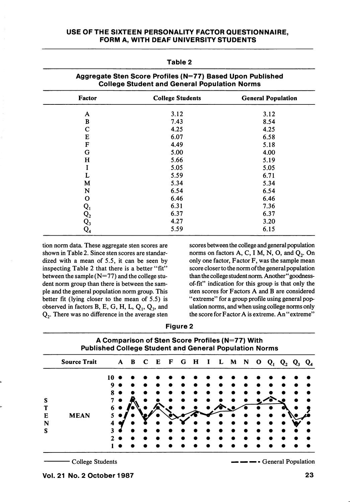## USE OF THE SIXTEEN PERSONALITY FACTOR QUESTIONNAIRE, FORM A, WITH DEAF UNIVERSITY STUDENTS

| Factor                                                                                | <b>College Students</b> | <b>General Population</b> |  |  |
|---------------------------------------------------------------------------------------|-------------------------|---------------------------|--|--|
| A                                                                                     | 3.12                    | 3.12                      |  |  |
| B                                                                                     | 7.43                    | 8.54                      |  |  |
| $\mathbf C$                                                                           | 4.25                    | 4.25                      |  |  |
| E                                                                                     | 6.07                    | 6.58                      |  |  |
| F                                                                                     | 4.49                    | 5.18                      |  |  |
| G                                                                                     | 5.00                    | 4.00                      |  |  |
| H                                                                                     | 5.66                    | 5.19                      |  |  |
| I                                                                                     | 5.05                    | 5.05                      |  |  |
| L                                                                                     | 5.59                    | 6.71                      |  |  |
| M                                                                                     | 5.34                    | 5.34                      |  |  |
| N                                                                                     | 6.54                    | 6.54                      |  |  |
| O                                                                                     | 6.46                    | 6.46                      |  |  |
|                                                                                       | 6.31                    | 7.36                      |  |  |
|                                                                                       | 6.37                    | 6.37                      |  |  |
| $\begin{matrix} \mathrm{Q}_1\ \mathrm{Q}_2\ \mathrm{Q}_3\ \mathrm{Q}_4\ \end{matrix}$ | 4.27                    | 3.20                      |  |  |
|                                                                                       | 5.59                    | 6.15                      |  |  |

# Table 2 Aggregate Sten Score Profiles (N=77) Based Upon Published

tion norm data. These aggregate sten scores are shown in Table 2. Since sten scores are standar dized with a mean of 5.5, it can be seen by inspecting Table 2 that there is a better "fit" between the sample (N=77) and the college stu dent norm group than there is between the sam ple and the general population norm group. This better fit (lying closer to the mean of 5.5) is observed in factors B, E, G, H, L,  $Q_1$ ,  $Q_3$ , and Qj. There was no difference in the average sten scores between the college and general population norms on factors  $A, C, I M, N, O$ , and  $Q<sub>2</sub>$ . On only one factor, Factor F, was the sample mean score closer to the norm of the general population than the college student norm. Another" goodnessof-fit" indication for this group is that only the sten scores for Factors A and B are considered "extreme" for a group profile using general pop ulation norms, and when using college norms only the score for Factor A is extreme. An "extreme"

| iaure |  |
|-------|--|
|-------|--|

| A Comparison of Sten Score Profiles (N=77) With<br><b>Published College Student and General Population Norms</b> |         |  |  |         |  |              |     |              |   |   |   |   |  |       |             |
|------------------------------------------------------------------------------------------------------------------|---------|--|--|---------|--|--------------|-----|--------------|---|---|---|---|--|-------|-------------|
| <b>Source Trait</b>                                                                                              |         |  |  | C       |  |              |     | $\mathbf{I}$ | L | M | N | о |  |       |             |
|                                                                                                                  | 10<br>Q |  |  |         |  |              |     |              |   |   |   |   |  |       |             |
| <b>MEAN</b>                                                                                                      | 6       |  |  |         |  |              |     |              |   |   |   |   |  |       |             |
|                                                                                                                  | 3       |  |  |         |  |              |     |              |   |   |   |   |  |       |             |
|                                                                                                                  |         |  |  | $A$ $B$ |  | $\mathbf{E}$ | F G | $\mathbf{H}$ |   |   |   |   |  | $Q_1$ | $Q_2$ $Q_3$ |

College Students

— — — - General Population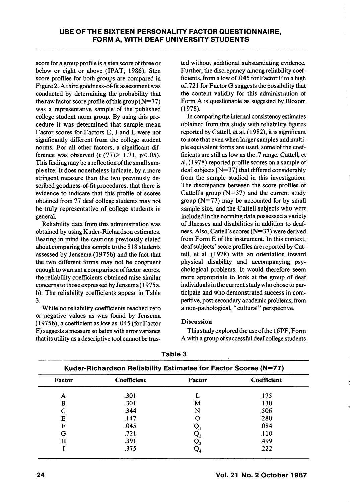score for a group profile is a sten score of three or below or eight or above (IPAT, 1986). Sten score profiles for both groups are compared in Figure 2. A third goodness-of-fit assessment was conducted by determining the probability that the raw factor score profile of this group  $(N=77)$ was a representative sample of the published college student norm group. By using this pro cedure it was determined that sample mean Factor scores for Factors E, I and L were not significantly different from the college student norms. For all other factors, a significant dif ference was observed (t  $(77)$  > 1.71, p <.05). This finding may be a reflection of the small sam ple size. It does nonetheless indicate, by a more stringent measure than the two previously de scribed goodness-of-fit procedures, that there is evidence to indicate that this profile of scores obtained from 77 deaf college students may not be truly representative of college students in general.

Reliability data from this administration was obtained by using Kuder-Richardson estimates. Bearing in mind the cautions previously stated about comparing this sample to the 818 students assessed by Jensema (1975b) and the fact that the two different forms may not be congruent enough to warrant a comparison of factor scores, the reliability coefficients obtained raise similar concerns to those expressed by Jensema(1975 a, b). The reliability coefficients appear in Table 3.

While no reliability coefficients reached zero or negative values as was found by Jensema (1975b), a coefficient as low as .045 (for Factor F) suggests a measure so laden with error variance that its utility as a descriptive tool cannot be trus

ted without additional substantiating evidence. Further, the discrepancy among reliability coef ficients, from a low of .045 for Factor F to a high of .721 for Factor G suggests the possibility that the content validity for this administration of Form A is questionable as suggested by Bloxom (1978).

In comparing the internal consistency estimates obtained from this study with reliability figures reported by Cattell, et al. (1982), it is significant to note that even when larger samples and multi ple equivalent forms are used, some of the coef ficients are still as low as the .7 range. Cattell, et al. (1978) reported profile scores on a sample of deaf subjects ( $N=37$ ) that differed considerably from the sample studied in this investigation. The discrepancy between the score profiles of Cattell's group  $(N=37)$  and the current study group  $(N=77)$  may be accounted for by small sample size, and the Cattell subjects who were included in the norming data possessed a variety of illnesses and disabilities in addition to deaf ness. Also, Cattell's scores (N=37) were derived from Form E of the instrument. In this context, deaf subjects' score profiles are reported by Cat tell, et al. (1978) with an orientation toward physical disability and accompanying psy chological problems. It would therefore seem more appropriate to look at the group of deaf individuals in the current study who chose to par ticipate and who demonstrated success in com petitive, post-secondary academic problems, from a non-pathological, "cultural" perspective.

### Discussion

This study explored the use of the 16PF, Form A with a group of successful deaf college students

| Kuder-Richardson Reliability Estimates for Factor Scores (N=77) |             |        |             |  |  |  |
|-----------------------------------------------------------------|-------------|--------|-------------|--|--|--|
| Factor                                                          | Coefficient | Factor | Coefficient |  |  |  |
| A                                                               | .301        |        | .175        |  |  |  |
| B                                                               | .301        | м      | .130        |  |  |  |
| C                                                               | .344        | N      | .506        |  |  |  |
| Е                                                               | .147        |        | .280        |  |  |  |
| F                                                               | .045        |        | .084        |  |  |  |
| G                                                               | .721        |        | .110        |  |  |  |
| н                                                               | .391        |        | .499        |  |  |  |
|                                                                 | .375        |        | .222        |  |  |  |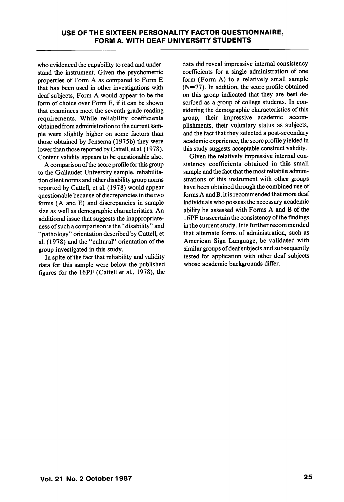who evidenced the capability to read and under stand the instrument. Given the psychometric properties of Form A as compared to Form E that has been used in other investigations with deaf subjects, Form A would appear to be the form of choice over Form E, if it can be shown that examinees meet the seventh grade reading requirements. While reliability coefficients obtained from administration to the current sam ple were slightly higher on some factors than those obtained by Jensema (1975b) they were lower than those reported by Cattell, et al. (1978). Content validity appears to be questionable also.

A comparison of the score profile for this group to the Gallaudet University sample, rehabilita tion client norms and other disability group norms reported by Cattell, et al. (1978) would appear questionable because of discrepancies in the two forms (A and E) and discrepancies in sample size as well as demographic characteristics. An additional issue that suggests the inappropriateness of such a comparison is the "disability" and "pathology" orientation described by Cattell, et al. (1978) and the "cultural" orientation of the group investigated in this study.

In spite of the fact that reliability and validity data for this sample were below the published figures for the 16PF (Cattell et al., 1978), the data did reveal impressive internal consistency coefficients for a single administration of one form (Form A) to a relatively small sample  $(N=77)$ . In addition, the score profile obtained on this group indicated that they are best de scribed as a group of college students. In con sidering the demographic characteristics of this group, their impressive academic accom plishments, their voluntary status as subjects, and the fact that they selected a post-secondary academic experience, the score profile yielded in this study suggests acceptable construct validity.

Given the relatively impressive internal con sistency coefficients obtained in this small sample and the fact that the most reliabile admini strations of this instrument with other groups have been obtained through the combined use of forms A and B, it is recommended that more deaf individuals who possess the necessary academic ability be assessed with Forms A and B of the 16PF to ascertain the consistency of the findings in the current study. It is further recommended that alternate forms of administration, such as American Sign Language, be validated with similar groups of deaf subjects and subsequently tested for application with other deaf subjects whose academic backgrounds differ.